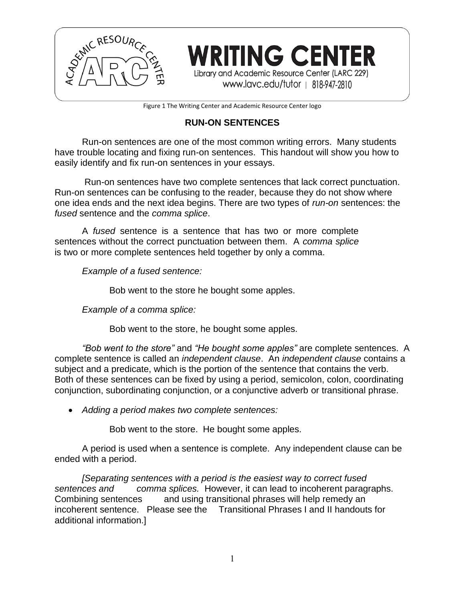

Figure 1 The Writing Center and Academic Resource Center logo

**WRITING CENTER** 

Library and Academic Resource Center (LARC 229) www.lavc.edu/tutor | 818-947-2810

# **RUN-ON SENTENCES**

Run-on sentences are one of the most common writing errors. Many students have trouble locating and fixing run-on sentences. This handout will show you how to easily identify and fix run-on sentences in your essays.

Run-on sentences have two complete sentences that lack correct punctuation. Run-on sentences can be confusing to the reader, because they do not show where one idea ends and the next idea begins. There are two types of *run-on* sentences: the *fused* sentence and the *comma splice*.

A *fused* sentence is a sentence that has two or more complete sentences without the correct punctuation between them. A *comma splice* is two or more complete sentences held together by only a comma.

*Example of a fused sentence:*

Bob went to the store he bought some apples.

*Example of a comma splice:*

Bob went to the store, he bought some apples.

*"Bob went to the store"* and *"He bought some apples"* are complete sentences. A complete sentence is called an *independent clause*. An *independent clause* contains a subject and a predicate, which is the portion of the sentence that contains the verb. Both of these sentences can be fixed by using a period, semicolon, colon, coordinating conjunction, subordinating conjunction, or a conjunctive adverb or transitional phrase.

*Adding a period makes two complete sentences:*

Bob went to the store. He bought some apples.

A period is used when a sentence is complete. Any independent clause can be ended with a period.

*[Separating sentences with a period is the easiest way to correct fused sentences and comma splices.* However, it can lead to incoherent paragraphs. Combining sentences and using transitional phrases will help remedy an incoherent sentence. Please see the Transitional Phrases I and II handouts for additional information.]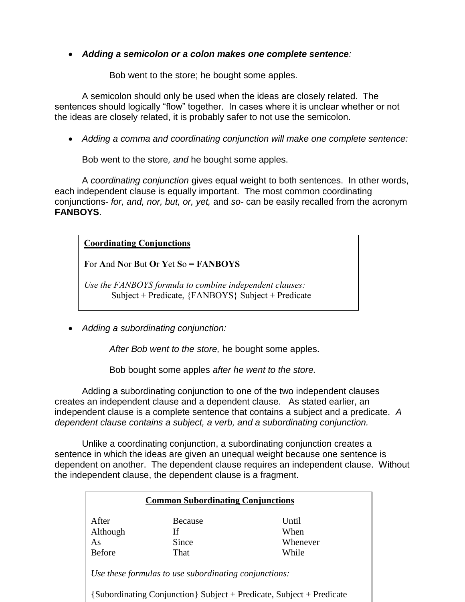## *Adding a semicolon or a colon makes one complete sentence:*

Bob went to the store; he bought some apples.

A semicolon should only be used when the ideas are closely related. The sentences should logically "flow" together. In cases where it is unclear whether or not the ideas are closely related, it is probably safer to not use the semicolon.

*Adding a comma and coordinating conjunction will make one complete sentence:*

Bob went to the store*, and* he bought some apples.

A *coordinating conjunction* gives equal weight to both sentences. In other words, each independent clause is equally important. The most common coordinating conjunctions- *for, and, nor, but, or, yet,* and *so-* can be easily recalled from the acronym **FANBOYS**.

**Coordinating Conjunctions**

For And Nor But Or Yet  $So = FANBOYS$ 

*Use the FANBOYS formula to combine independent clauses:* Subject + Predicate, {FANBOYS} Subject + Predicate

*Adding a subordinating conjunction:*

*After Bob went to the store,* he bought some apples.

Bob bought some apples *after he went to the store.*

Adding a subordinating conjunction to one of the two independent clauses creates an independent clause and a dependent clause. As stated earlier, an independent clause is a complete sentence that contains a subject and a predicate. *A dependent clause contains a subject, a verb, and a subordinating conjunction.* 

Unlike a coordinating conjunction, a subordinating conjunction creates a sentence in which the ideas are given an unequal weight because one sentence is dependent on another. The dependent clause requires an independent clause. Without the independent clause, the dependent clause is a fragment.

| <b>Common Subordinating Conjunctions</b> |                                                       |                                                                      |  |
|------------------------------------------|-------------------------------------------------------|----------------------------------------------------------------------|--|
| After                                    | Because                                               | Until                                                                |  |
| Although                                 | Ιf                                                    | When                                                                 |  |
| As                                       | Since                                                 | Whenever                                                             |  |
| <b>Before</b>                            | That                                                  | While                                                                |  |
|                                          | Use these formulas to use subordinating conjunctions: |                                                                      |  |
|                                          |                                                       | [Subordinating Conjunction] Subject + Predicate, Subject + Predicate |  |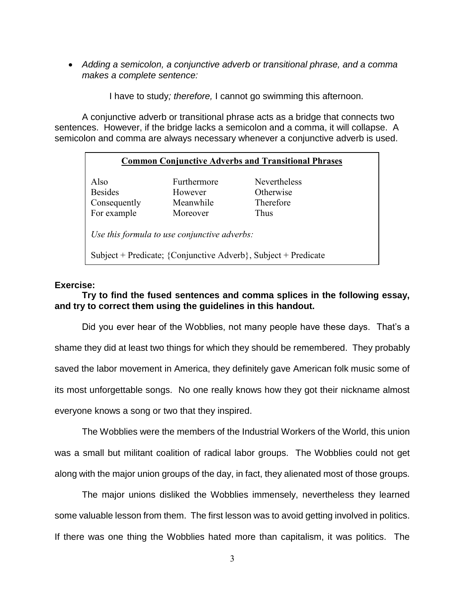*Adding a semicolon, a conjunctive adverb or transitional phrase, and a comma makes a complete sentence:*

I have to study*; therefore,* I cannot go swimming this afternoon.

A conjunctive adverb or transitional phrase acts as a bridge that connects two sentences. However, if the bridge lacks a semicolon and a comma, it will collapse. A semicolon and comma are always necessary whenever a conjunctive adverb is used.

### **Common Conjunctive Adverbs and Transitional Phrases**

| Also           |  |
|----------------|--|
| <b>Besides</b> |  |
| Consequently   |  |
| For example    |  |

Furthermore Nevertheless However Otherwise Meanwhile Therefore Moreover Thus

*Use this formula to use conjunctive adverbs:*

Subject + Predicate; {Conjunctive Adverb}, Subject + Predicate

### **Exercise:**

## **Try to find the fused sentences and comma splices in the following essay, and try to correct them using the guidelines in this handout.**

Did you ever hear of the Wobblies, not many people have these days. That's a shame they did at least two things for which they should be remembered. They probably saved the labor movement in America, they definitely gave American folk music some of its most unforgettable songs. No one really knows how they got their nickname almost everyone knows a song or two that they inspired.

The Wobblies were the members of the Industrial Workers of the World, this union was a small but militant coalition of radical labor groups. The Wobblies could not get along with the major union groups of the day, in fact, they alienated most of those groups.

The major unions disliked the Wobblies immensely, nevertheless they learned some valuable lesson from them. The first lesson was to avoid getting involved in politics. If there was one thing the Wobblies hated more than capitalism, it was politics. The